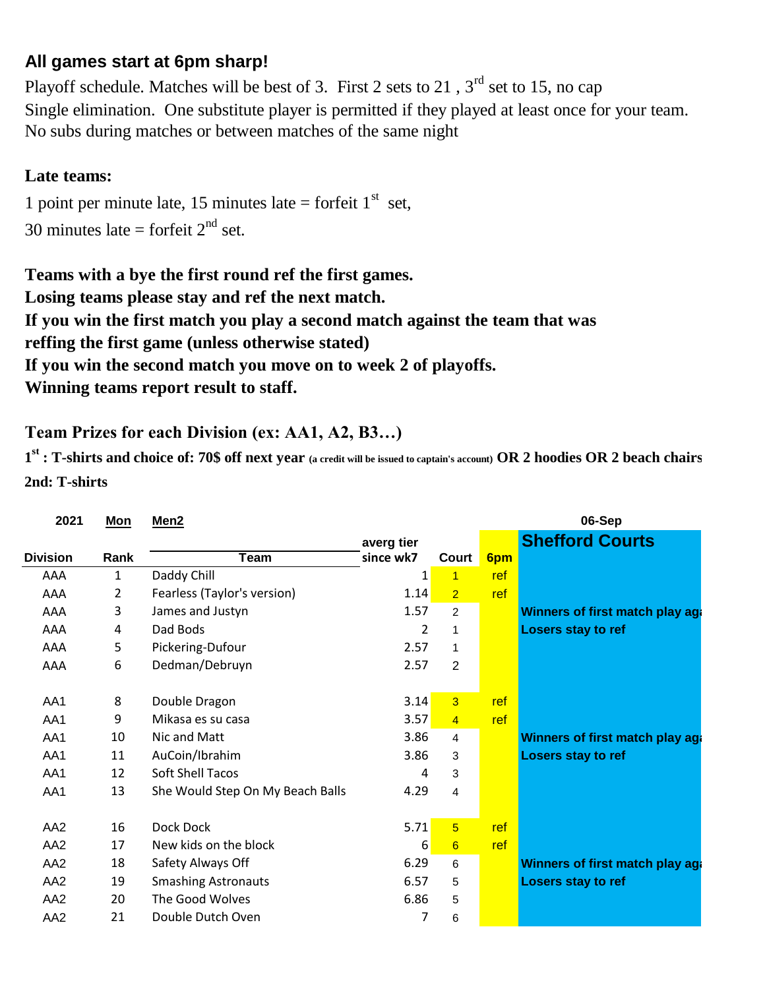## **All games start at 6pm sharp!**

No subs during matches or between matches of the same night Playoff schedule. Matches will be best of 3. First 2 sets to 21,  $3<sup>rd</sup>$  set to 15, no cap Single elimination. One substitute player is permitted if they played at least once for your team.

## **Late teams:**

30 minutes late = forfeit  $2<sup>nd</sup>$  set. 1 point per minute late, 15 minutes late = forfeit  $1<sup>st</sup>$  set,

**Winning teams report result to staff. Teams with a bye the first round ref the first games. Losing teams please stay and ref the next match. If you win the first match you play a second match against the team that was If you win the second match you move on to week 2 of playoffs. reffing the first game (unless otherwise stated)**

## **Team Prizes for each Division (ex: AA1, A2, B3…)**

**1 st : T-shirts and choice of: 70\$ off next year (a credit will be issued to captain's account) OR 2 hoodies OR 2 beach chairs 2nd: T-shirts**

| 2021            | Mon          | Men <sub>2</sub>                 |            |                 |     | 06-Sep                                 |
|-----------------|--------------|----------------------------------|------------|-----------------|-----|----------------------------------------|
|                 |              |                                  | averg tier |                 |     | <b>Shefford Courts</b>                 |
| <b>Division</b> | Rank         | Team                             | since wk7  | Court           | 6pm |                                        |
| AAA             | $\mathbf{1}$ | Daddy Chill                      | $1\vert$   | $\overline{1}$  | ref |                                        |
| AAA             | 2            | Fearless (Taylor's version)      | 1.14       | $\overline{2}$  | ref |                                        |
| AAA             | 3            | James and Justyn                 | 1.57       | $\overline{2}$  |     | <b>Winners of first match play aga</b> |
| AAA             | 4            | Dad Bods                         | 2          | $\mathbf{1}$    |     | Losers stay to ref                     |
| AAA             | 5            | Pickering-Dufour                 | 2.57       | $\mathbf{1}$    |     |                                        |
| AAA             | 6            | Dedman/Debruyn                   | 2.57       | $\overline{2}$  |     |                                        |
|                 |              |                                  |            |                 |     |                                        |
| AA1             | 8            | Double Dragon                    | 3.14       | $\overline{3}$  | ref |                                        |
| AA1             | 9            | Mikasa es su casa                | 3.57       | $\overline{4}$  | ref |                                        |
| AA1             | 10           | Nic and Matt                     | 3.86       | 4               |     | Winners of first match play aga        |
| AA1             | 11           | AuCoin/Ibrahim                   | 3.86       | 3               |     | Losers stay to ref                     |
| AA1             | 12           | <b>Soft Shell Tacos</b>          | 4          | 3               |     |                                        |
| AA1             | 13           | She Would Step On My Beach Balls | 4.29       | 4               |     |                                        |
|                 |              |                                  |            |                 |     |                                        |
| AA <sub>2</sub> | 16           | Dock Dock                        | 5.71       | $\overline{5}$  | ref |                                        |
| AA <sub>2</sub> | 17           | New kids on the block            | 6          | $6\phantom{1}6$ | ref |                                        |
| AA <sub>2</sub> | 18           | Safety Always Off                | 6.29       | 6               |     | Winners of first match play aga        |
| AA <sub>2</sub> | 19           | <b>Smashing Astronauts</b>       | 6.57       | 5               |     | Losers stay to ref                     |
| AA <sub>2</sub> | 20           | The Good Wolves                  | 6.86       | 5               |     |                                        |
| AA <sub>2</sub> | 21           | Double Dutch Oven                | 7          | 6               |     |                                        |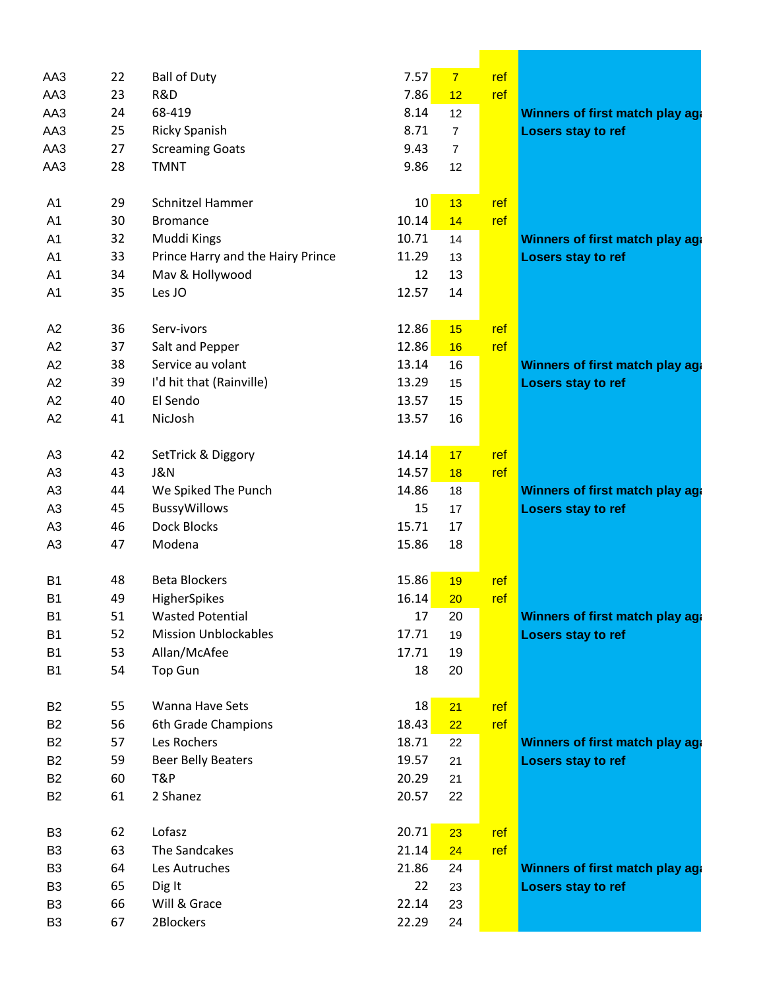| AA3            | 22 | <b>Ball of Duty</b>               | 7.57            | $\overline{7}$ | ref |                                 |
|----------------|----|-----------------------------------|-----------------|----------------|-----|---------------------------------|
| AA3            | 23 | R&D                               | 7.86            | 12             | ref |                                 |
| AA3            | 24 | 68-419                            | 8.14            | 12             |     | Winners of first match play age |
| AA3            | 25 | <b>Ricky Spanish</b>              | 8.71            | $\overline{7}$ |     | Losers stay to ref              |
| AA3            | 27 | <b>Screaming Goats</b>            | 9.43            | $\overline{7}$ |     |                                 |
| AA3            | 28 | <b>TMNT</b>                       | 9.86            | 12             |     |                                 |
| A <sub>1</sub> | 29 | Schnitzel Hammer                  | 10 <sub>2</sub> | 13             | ref |                                 |
| A1             | 30 | <b>Bromance</b>                   | 10.14           | 14             | ref |                                 |
| A1             | 32 | Muddi Kings                       | 10.71           | 14             |     | Winners of first match play aga |
| A1             | 33 | Prince Harry and the Hairy Prince | 11.29           | 13             |     | Losers stay to ref              |
| A1             | 34 | Mav & Hollywood                   | 12              | 13             |     |                                 |
| A1             | 35 | Les JO                            | 12.57           | 14             |     |                                 |
| A2             | 36 | Serv-ivors                        | 12.86           | 15             | ref |                                 |
| A2             | 37 | Salt and Pepper                   | 12.86           | 16             | ref |                                 |
| A2             | 38 | Service au volant                 | 13.14           | 16             |     | Winners of first match play age |
| A2             | 39 | I'd hit that (Rainville)          | 13.29           | 15             |     | Losers stay to ref              |
| A2             | 40 | El Sendo                          | 13.57           | 15             |     |                                 |
| A2             | 41 | NicJosh                           | 13.57           | 16             |     |                                 |
| A <sub>3</sub> | 42 | SetTrick & Diggory                | 14.14           | 17             | ref |                                 |
| A <sub>3</sub> | 43 | <b>J&amp;N</b>                    | 14.57           | 18             | ref |                                 |
| A <sub>3</sub> | 44 | We Spiked The Punch               | 14.86           | 18             |     | Winners of first match play age |
| A <sub>3</sub> | 45 | <b>BussyWillows</b>               | 15              | 17             |     | Losers stay to ref              |
| A <sub>3</sub> | 46 | <b>Dock Blocks</b>                | 15.71           | 17             |     |                                 |
| A <sub>3</sub> | 47 | Modena                            | 15.86           | 18             |     |                                 |
| B <sub>1</sub> | 48 | <b>Beta Blockers</b>              | 15.86           | 19             | ref |                                 |
| <b>B1</b>      | 49 | HigherSpikes                      | 16.14           | 20             | ref |                                 |
| B <sub>1</sub> | 51 | <b>Wasted Potential</b>           | 17              | 20             |     | Winners of first match play aga |
| <b>B1</b>      | 52 | <b>Mission Unblockables</b>       | 17.71           | 19             |     | Losers stay to ref              |
| <b>B1</b>      | 53 | Allan/McAfee                      | 17.71           | 19             |     |                                 |
| <b>B1</b>      | 54 | <b>Top Gun</b>                    | 18              | 20             |     |                                 |
| <b>B2</b>      | 55 | Wanna Have Sets                   | 18              | 21             | ref |                                 |
| <b>B2</b>      | 56 | 6th Grade Champions               | 18.43           | 22             | ref |                                 |
| <b>B2</b>      | 57 | Les Rochers                       | 18.71           | 22             |     | Winners of first match play aga |
| <b>B2</b>      | 59 | <b>Beer Belly Beaters</b>         | 19.57           | 21             |     | Losers stay to ref              |
| <b>B2</b>      | 60 | T&P                               | 20.29           | 21             |     |                                 |
| <b>B2</b>      | 61 | 2 Shanez                          | 20.57           | 22             |     |                                 |
| B <sub>3</sub> | 62 | Lofasz                            | 20.71           | 23             | ref |                                 |
| B <sub>3</sub> | 63 | The Sandcakes                     | 21.14           | 24             | ref |                                 |
| B <sub>3</sub> | 64 | Les Autruches                     | 21.86           | 24             |     | Winners of first match play aga |
| B <sub>3</sub> | 65 | Dig It                            | 22              | 23             |     | Losers stay to ref              |
| B <sub>3</sub> | 66 | Will & Grace                      | 22.14           | 23             |     |                                 |
| B <sub>3</sub> | 67 | 2Blockers                         | 22.29           | 24             |     |                                 |
|                |    |                                   |                 |                |     |                                 |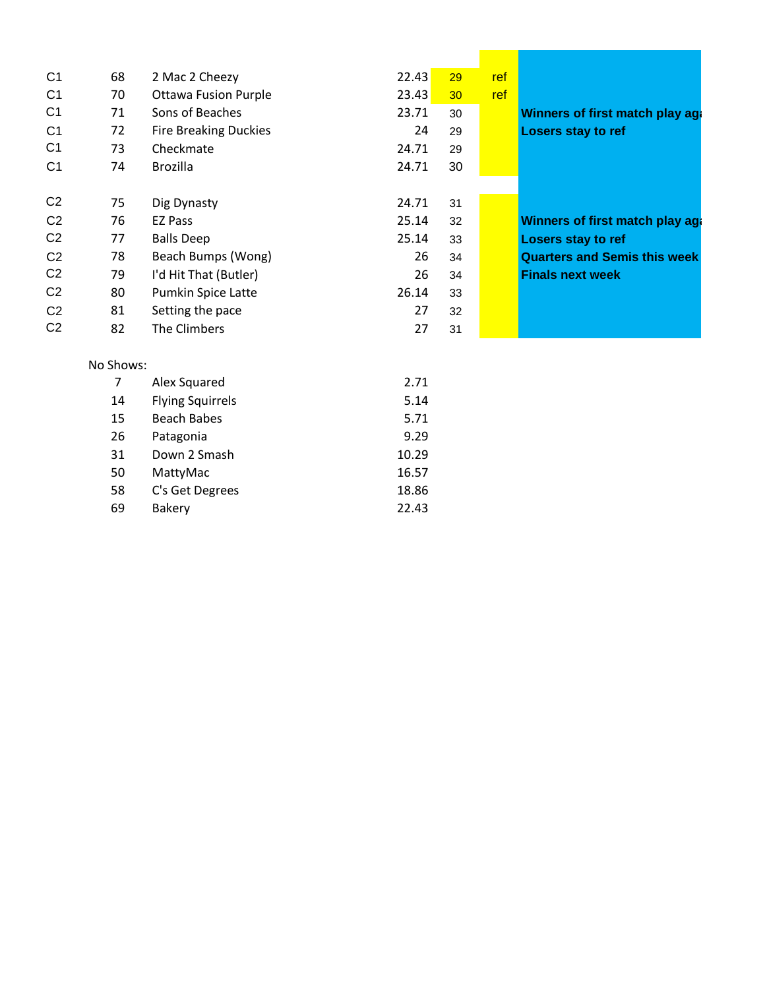| C <sub>1</sub> | 68             | 2 Mac 2 Cheezy               | 22.43 | 29 | ref |                                     |
|----------------|----------------|------------------------------|-------|----|-----|-------------------------------------|
| C <sub>1</sub> | 70             | <b>Ottawa Fusion Purple</b>  | 23.43 | 30 | ref |                                     |
| C <sub>1</sub> | 71             | Sons of Beaches              | 23.71 | 30 |     | Winners of first match play aga     |
| C <sub>1</sub> | 72             | <b>Fire Breaking Duckies</b> | 24    | 29 |     | Losers stay to ref                  |
| C <sub>1</sub> | 73             | Checkmate                    | 24.71 | 29 |     |                                     |
| C <sub>1</sub> | 74             | <b>Brozilla</b>              | 24.71 | 30 |     |                                     |
| C <sub>2</sub> | 75             | Dig Dynasty                  | 24.71 | 31 |     |                                     |
| C <sub>2</sub> | 76             | <b>EZ Pass</b>               | 25.14 | 32 |     | Winners of first match play aga     |
|                |                |                              |       |    |     |                                     |
| C <sub>2</sub> | 77             | <b>Balls Deep</b>            | 25.14 | 33 |     | Losers stay to ref                  |
| C <sub>2</sub> | 78             | Beach Bumps (Wong)           | 26    | 34 |     | <b>Quarters and Semis this week</b> |
| C <sub>2</sub> | 79             | I'd Hit That (Butler)        | 26    | 34 |     | <b>Finals next week</b>             |
| C <sub>2</sub> | 80             | Pumkin Spice Latte           | 26.14 | 33 |     |                                     |
| C <sub>2</sub> | 81             | Setting the pace             | 27    | 32 |     |                                     |
| C <sub>2</sub> | 82             | The Climbers                 | 27    | 31 |     |                                     |
|                | No Shows:      |                              |       |    |     |                                     |
|                | $\overline{7}$ | Alex Squared                 | 2.71  |    |     |                                     |
|                | 14             | <b>Flying Squirrels</b>      | 5.14  |    |     |                                     |
|                | 15             | <b>Beach Babes</b>           | 5.71  |    |     |                                     |
|                | 26             | Patagonia                    | 9.29  |    |     |                                     |
|                | 31             | Down 2 Smash                 | 10.29 |    |     |                                     |
|                | 50             | MattyMac                     | 16.57 |    |     |                                     |
|                | 58             | C's Get Degrees              | 18.86 |    |     |                                     |

<u> Tanah Samud Barat Barat Barat Barat Barat Barat Barat Barat Barat Barat Barat Barat Barat Barat Barat Barat Barat Barat Barat Barat Barat Barat Barat Barat Barat Barat Barat Barat Barat Barat Barat Barat Barat Barat Bara</u>

69 Bakery 22.43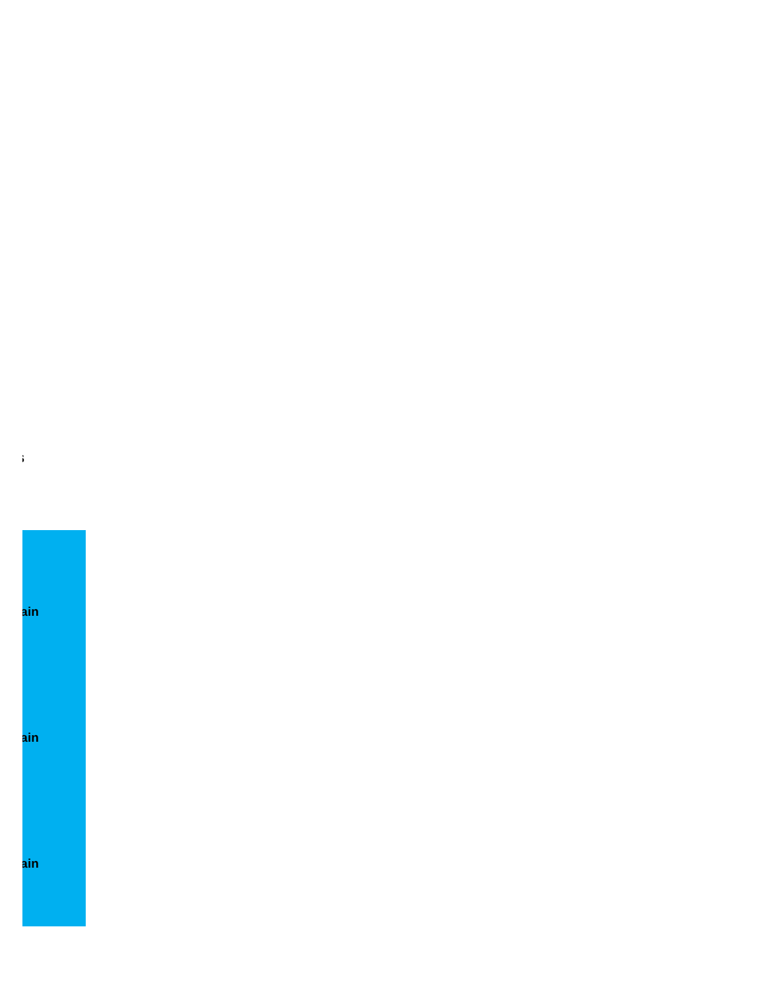## ain ain ain

 $\mathfrak{z}$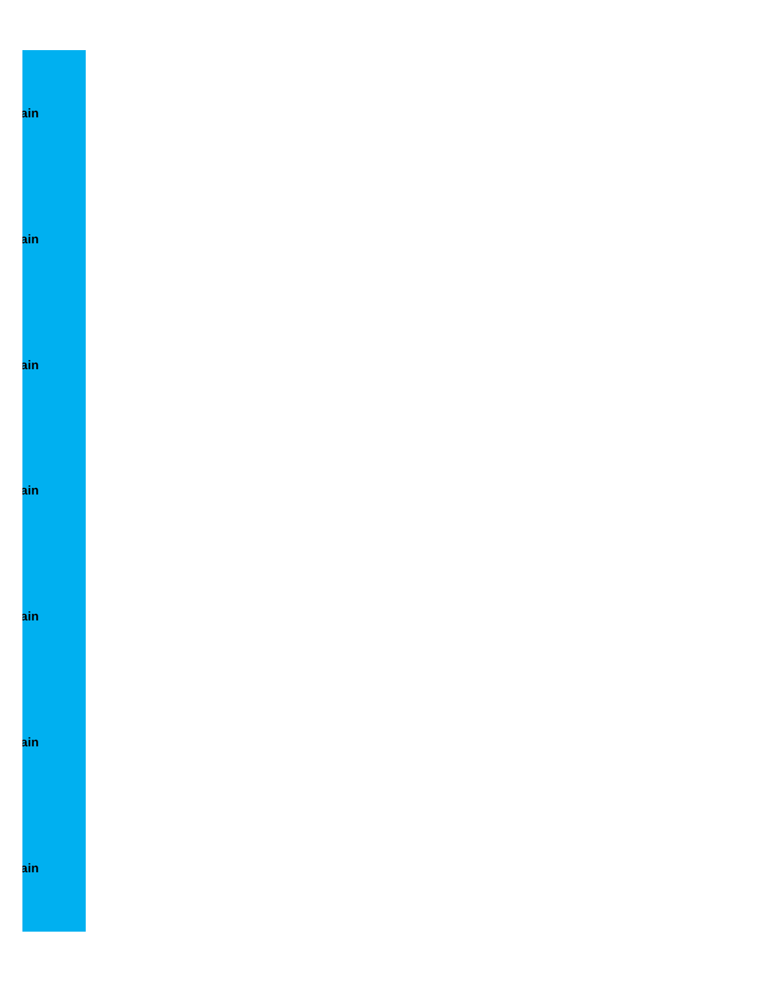ain ain  $\mathsf{ain}$  $\overline{\mathbf{a}}$ in  $\mathsf{ain}$  $\mathsf{ain}$ <mark>ain</mark>